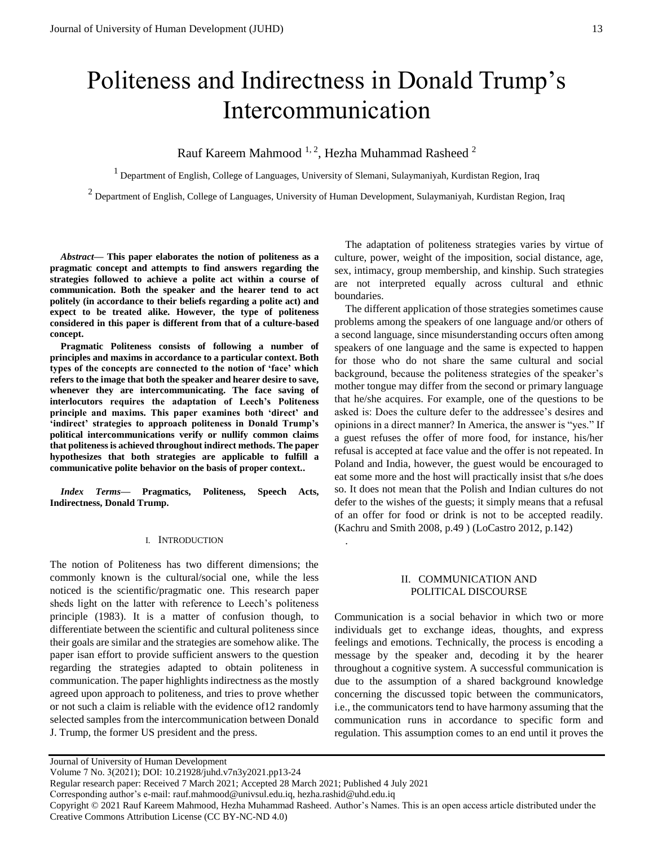# Politeness and Indirectness in Donald Trump's Intercommunication

# Rauf Kareem Mahmood  $^{1, 2}$ , Hezha Muhammad Rasheed  $^{2}$

 $<sup>1</sup>$  Department of English, College of Languages, University of Slemani, Sulaymaniyah, Kurdistan Region, Iraq</sup>

 $<sup>2</sup>$  Department of English, College of Languages, University of Human Development, Sulaymaniyah, Kurdistan Region, Iraq</sup>

*Abstract***— This paper elaborates the notion of politeness as a pragmatic concept and attempts to find answers regarding the strategies followed to achieve a polite act within a course of communication. Both the speaker and the hearer tend to act politely (in accordance to their beliefs regarding a polite act) and expect to be treated alike. However, the type of politeness considered in this paper is different from that of a culture-based concept.** 

**Pragmatic Politeness consists of following a number of principles and maxims in accordance to a particular context. Both types of the concepts are connected to the notion of 'face' which refers to the image that both the speaker and hearer desire to save, whenever they are intercommunicating. The face saving of interlocutors requires the adaptation of Leech's Politeness principle and maxims. This paper examines both 'direct' and 'indirect' strategies to approach politeness in Donald Trump's political intercommunications verify or nullify common claims that politeness is achieved throughout indirect methods. The paper hypothesizes that both strategies are applicable to fulfill a communicative polite behavior on the basis of proper context..**

*Index Terms***— Pragmatics, Politeness, Speech Acts, Indirectness, Donald Trump.** 

#### I. INTRODUCTION

The notion of Politeness has two different dimensions; the commonly known is the cultural/social one, while the less noticed is the scientific/pragmatic one. This research paper sheds light on the latter with reference to Leech's politeness principle (1983). It is a matter of confusion though, to differentiate between the scientific and cultural politeness since their goals are similar and the strategies are somehow alike. The paper isan effort to provide sufficient answers to the question regarding the strategies adapted to obtain politeness in communication. The paper highlights indirectness as the mostly agreed upon approach to politeness, and tries to prove whether or not such a claim is reliable with the evidence of12 randomly selected samples from the intercommunication between Donald J. Trump, the former US president and the press.

The adaptation of politeness strategies varies by virtue of culture, power, weight of the imposition, social distance, age, sex, intimacy, group membership, and kinship. Such strategies are not interpreted equally across cultural and ethnic boundaries.

The different application of those strategies sometimes cause problems among the speakers of one language and/or others of a second language, since misunderstanding occurs often among speakers of one language and the same is expected to happen for those who do not share the same cultural and social background, because the politeness strategies of the speaker's mother tongue may differ from the second or primary language that he/she acquires. For example, one of the questions to be asked is: Does the culture defer to the addressee's desires and opinions in a direct manner? In America, the answer is "yes." If a guest refuses the offer of more food, for instance, his/her refusal is accepted at face value and the offer is not repeated. In Poland and India, however, the guest would be encouraged to eat some more and the host will practically insist that s/he does so. It does not mean that the Polish and Indian cultures do not defer to the wishes of the guests; it simply means that a refusal of an offer for food or drink is not to be accepted readily. (Kachru and Smith 2008, p.49 ) (LoCastro 2012, p.142)

#### II. COMMUNICATION AND POLITICAL DISCOURSE

Communication is a social behavior in which two or more individuals get to exchange ideas, thoughts, and express feelings and emotions. Technically, the process is encoding a message by the speaker and, decoding it by the hearer throughout a cognitive system. A successful communication is due to the assumption of a shared background knowledge concerning the discussed topic between the communicators, i.e., the communicators tend to have harmony assuming that the communication runs in accordance to specific form and regulation. This assumption comes to an end until it proves the

.

Journal of University of Human Development

Volume 7 No. 3(2021); DOI: 10.21928/juhd.v7n3y2021.pp13-24

Regular research paper: Received 7 March 2021; Accepted 28 March 2021; Published 4 July 2021

Corresponding author's e-mail: rauf.mahmood@univsul.edu.iq, hezha.rashid@uhd.edu.iq

Copyright © 2021 Rauf Kareem Mahmood, Hezha Muhammad Rasheed. Author's Names. This is an open access article distributed under the Creative Commons Attribution License (CC BY-NC-ND 4.0)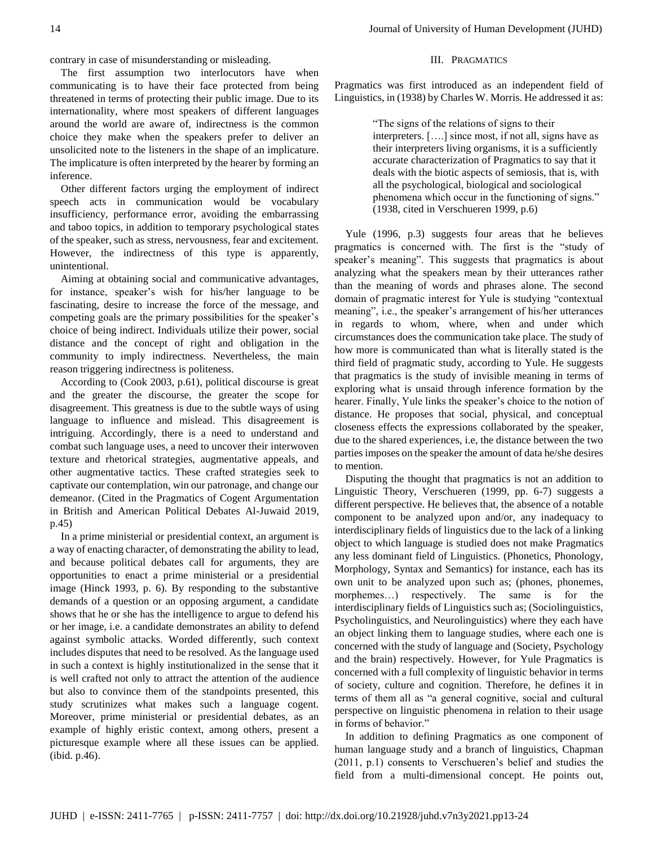contrary in case of misunderstanding or misleading.

The first assumption two interlocutors have when communicating is to have their face protected from being threatened in terms of protecting their public image. Due to its internationality, where most speakers of different languages around the world are aware of, indirectness is the common choice they make when the speakers prefer to deliver an unsolicited note to the listeners in the shape of an implicature. The implicature is often interpreted by the hearer by forming an inference.

Other different factors urging the employment of indirect speech acts in communication would be vocabulary insufficiency, performance error, avoiding the embarrassing and taboo topics, in addition to temporary psychological states of the speaker, such as stress, nervousness, fear and excitement. However, the indirectness of this type is apparently, unintentional.

Aiming at obtaining social and communicative advantages, for instance, speaker's wish for his/her language to be fascinating, desire to increase the force of the message, and competing goals are the primary possibilities for the speaker's choice of being indirect. Individuals utilize their power, social distance and the concept of right and obligation in the community to imply indirectness. Nevertheless, the main reason triggering indirectness is politeness.

According to (Cook 2003, p.61), political discourse is great and the greater the discourse, the greater the scope for disagreement. This greatness is due to the subtle ways of using language to influence and mislead. This disagreement is intriguing. Accordingly, there is a need to understand and combat such language uses, a need to uncover their interwoven texture and rhetorical strategies, augmentative appeals, and other augmentative tactics. These crafted strategies seek to captivate our contemplation, win our patronage, and change our demeanor. (Cited in the Pragmatics of Cogent Argumentation in British and American Political Debates Al-Juwaid 2019, p.45)

In a prime ministerial or presidential context, an argument is a way of enacting character, of demonstrating the ability to lead, and because political debates call for arguments, they are opportunities to enact a prime ministerial or a presidential image (Hinck 1993, p. 6). By responding to the substantive demands of a question or an opposing argument, a candidate shows that he or she has the intelligence to argue to defend his or her image, i.e. a candidate demonstrates an ability to defend against symbolic attacks. Worded differently, such context includes disputes that need to be resolved. As the language used in such a context is highly institutionalized in the sense that it is well crafted not only to attract the attention of the audience but also to convince them of the standpoints presented, this study scrutinizes what makes such a language cogent. Moreover, prime ministerial or presidential debates, as an example of highly eristic context, among others, present a picturesque example where all these issues can be applied. (ibid. p.46).

#### III. PRAGMATICS

Pragmatics was first introduced as an independent field of Linguistics, in (1938) by Charles W. Morris. He addressed it as:

> "The signs of the relations of signs to their interpreters. [….] since most, if not all, signs have as their interpreters living organisms, it is a sufficiently accurate characterization of Pragmatics to say that it deals with the biotic aspects of semiosis, that is, with all the psychological, biological and sociological phenomena which occur in the functioning of signs." (1938, cited in Verschueren 1999, p.6)

Yule (1996, p.3) suggests four areas that he believes pragmatics is concerned with. The first is the "study of speaker's meaning". This suggests that pragmatics is about analyzing what the speakers mean by their utterances rather than the meaning of words and phrases alone. The second domain of pragmatic interest for Yule is studying "contextual meaning", i.e., the speaker's arrangement of his/her utterances in regards to whom, where, when and under which circumstances does the communication take place. The study of how more is communicated than what is literally stated is the third field of pragmatic study, according to Yule. He suggests that pragmatics is the study of invisible meaning in terms of exploring what is unsaid through inference formation by the hearer. Finally, Yule links the speaker's choice to the notion of distance. He proposes that social, physical, and conceptual closeness effects the expressions collaborated by the speaker, due to the shared experiences, i.e, the distance between the two parties imposes on the speaker the amount of data he/she desires to mention.

Disputing the thought that pragmatics is not an addition to Linguistic Theory, Verschueren (1999, pp. 6-7) suggests a different perspective. He believes that, the absence of a notable component to be analyzed upon and/or, any inadequacy to interdisciplinary fields of linguistics due to the lack of a linking object to which language is studied does not make Pragmatics any less dominant field of Linguistics. (Phonetics, Phonology, Morphology, Syntax and Semantics) for instance, each has its own unit to be analyzed upon such as; (phones, phonemes, morphemes…) respectively. The same is for the interdisciplinary fields of Linguistics such as; (Sociolinguistics, Psycholinguistics, and Neurolinguistics) where they each have an object linking them to language studies, where each one is concerned with the study of language and (Society, Psychology and the brain) respectively. However, for Yule Pragmatics is concerned with a full complexity of linguistic behavior in terms of society, culture and cognition. Therefore, he defines it in terms of them all as "a general cognitive, social and cultural perspective on linguistic phenomena in relation to their usage in forms of behavior."

In addition to defining Pragmatics as one component of human language study and a branch of linguistics, Chapman (2011, p.1) consents to Verschueren's belief and studies the field from a multi-dimensional concept. He points out,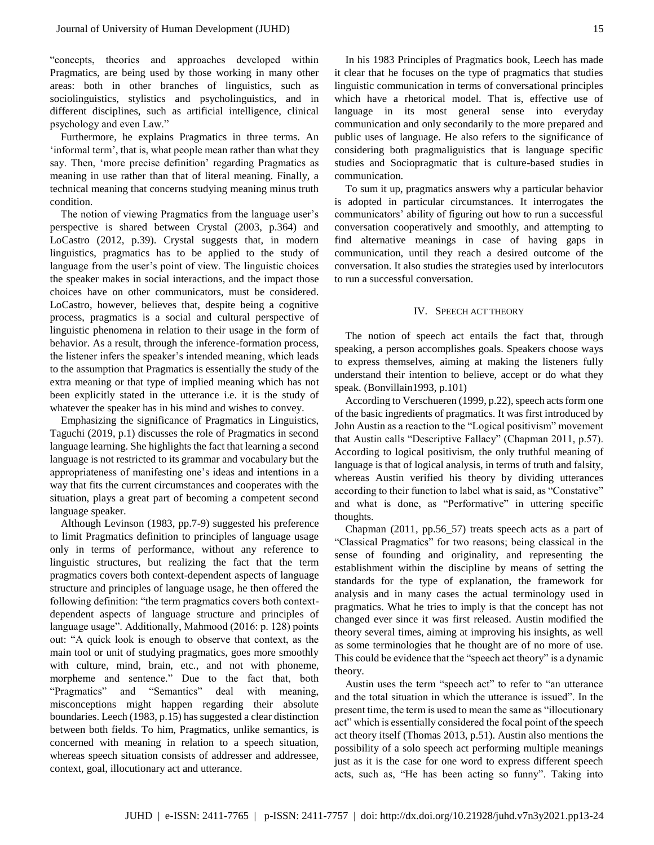"concepts, theories and approaches developed within Pragmatics, are being used by those working in many other areas: both in other branches of linguistics, such as sociolinguistics, stylistics and psycholinguistics, and in different disciplines, such as artificial intelligence, clinical psychology and even Law."

Furthermore, he explains Pragmatics in three terms. An 'informal term', that is, what people mean rather than what they say. Then, 'more precise definition' regarding Pragmatics as meaning in use rather than that of literal meaning. Finally, a technical meaning that concerns studying meaning minus truth condition.

The notion of viewing Pragmatics from the language user's perspective is shared between Crystal (2003, p.364) and LoCastro (2012, p.39). Crystal suggests that, in modern linguistics, pragmatics has to be applied to the study of language from the user's point of view. The linguistic choices the speaker makes in social interactions, and the impact those choices have on other communicators, must be considered. LoCastro, however, believes that, despite being a cognitive process, pragmatics is a social and cultural perspective of linguistic phenomena in relation to their usage in the form of behavior. As a result, through the inference-formation process, the listener infers the speaker's intended meaning, which leads to the assumption that Pragmatics is essentially the study of the extra meaning or that type of implied meaning which has not been explicitly stated in the utterance i.e. it is the study of whatever the speaker has in his mind and wishes to convey.

Emphasizing the significance of Pragmatics in Linguistics, Taguchi (2019, p.1) discusses the role of Pragmatics in second language learning. She highlights the fact that learning a second language is not restricted to its grammar and vocabulary but the appropriateness of manifesting one's ideas and intentions in a way that fits the current circumstances and cooperates with the situation, plays a great part of becoming a competent second language speaker.

Although Levinson (1983, pp.7-9) suggested his preference to limit Pragmatics definition to principles of language usage only in terms of performance, without any reference to linguistic structures, but realizing the fact that the term pragmatics covers both context-dependent aspects of language structure and principles of language usage, he then offered the following definition: "the term pragmatics covers both contextdependent aspects of language structure and principles of language usage". Additionally, Mahmood (2016: p. 128) points out: "A quick look is enough to observe that context, as the main tool or unit of studying pragmatics, goes more smoothly with culture, mind, brain, etc., and not with phoneme, morpheme and sentence." Due to the fact that, both "Pragmatics" and "Semantics" deal with meaning, misconceptions might happen regarding their absolute boundaries. Leech (1983, p.15) has suggested a clear distinction between both fields. To him, Pragmatics, unlike semantics, is concerned with meaning in relation to a speech situation, whereas speech situation consists of addresser and addressee, context, goal, illocutionary act and utterance.

In his 1983 Principles of Pragmatics book, Leech has made it clear that he focuses on the type of pragmatics that studies linguistic communication in terms of conversational principles which have a rhetorical model. That is, effective use of language in its most general sense into everyday communication and only secondarily to the more prepared and public uses of language. He also refers to the significance of considering both pragmaliguistics that is language specific studies and Sociopragmatic that is culture-based studies in communication.

To sum it up, pragmatics answers why a particular behavior is adopted in particular circumstances. It interrogates the communicators' ability of figuring out how to run a successful conversation cooperatively and smoothly, and attempting to find alternative meanings in case of having gaps in communication, until they reach a desired outcome of the conversation. It also studies the strategies used by interlocutors to run a successful conversation.

## IV. SPEECH ACT THEORY

The notion of speech act entails the fact that, through speaking, a person accomplishes goals. Speakers choose ways to express themselves, aiming at making the listeners fully understand their intention to believe, accept or do what they speak. (Bonvillain1993, p.101)

According to Verschueren (1999, p.22), speech acts form one of the basic ingredients of pragmatics. It was first introduced by John Austin as a reaction to the "Logical positivism" movement that Austin calls "Descriptive Fallacy" (Chapman 2011, p.57). According to logical positivism, the only truthful meaning of language is that of logical analysis, in terms of truth and falsity, whereas Austin verified his theory by dividing utterances according to their function to label what is said, as "Constative" and what is done, as "Performative" in uttering specific thoughts.

Chapman (2011, pp.56\_57) treats speech acts as a part of "Classical Pragmatics" for two reasons; being classical in the sense of founding and originality, and representing the establishment within the discipline by means of setting the standards for the type of explanation, the framework for analysis and in many cases the actual terminology used in pragmatics. What he tries to imply is that the concept has not changed ever since it was first released. Austin modified the theory several times, aiming at improving his insights, as well as some terminologies that he thought are of no more of use. This could be evidence that the "speech act theory" is a dynamic theory.

Austin uses the term "speech act" to refer to "an utterance and the total situation in which the utterance is issued". In the present time, the term is used to mean the same as "illocutionary act" which is essentially considered the focal point of the speech act theory itself (Thomas 2013, p.51). Austin also mentions the possibility of a solo speech act performing multiple meanings just as it is the case for one word to express different speech acts, such as, "He has been acting so funny". Taking into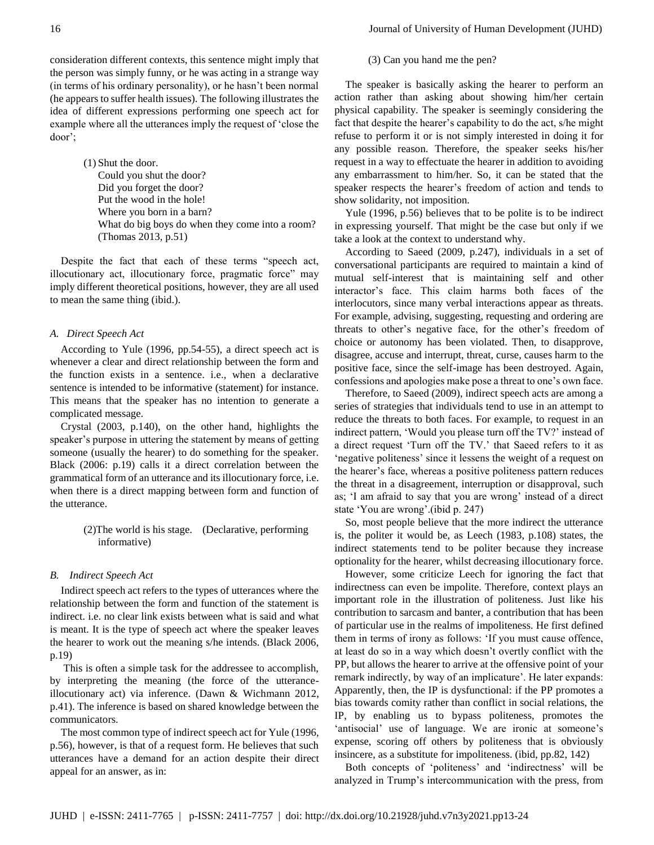(1) Shut the door. Could you shut the door? Did you forget the door? Put the wood in the hole! Where you born in a barn? What do big boys do when they come into a room? (Thomas 2013, p.51)

Despite the fact that each of these terms "speech act, illocutionary act, illocutionary force, pragmatic force" may imply different theoretical positions, however, they are all used to mean the same thing (ibid.).

#### *A. Direct Speech Act*

According to Yule (1996, pp.54-55), a direct speech act is whenever a clear and direct relationship between the form and the function exists in a sentence. i.e., when a declarative sentence is intended to be informative (statement) for instance. This means that the speaker has no intention to generate a complicated message.

Crystal (2003, p.140), on the other hand, highlights the speaker's purpose in uttering the statement by means of getting someone (usually the hearer) to do something for the speaker. Black (2006: p.19) calls it a direct correlation between the grammatical form of an utterance and its illocutionary force, i.e. when there is a direct mapping between form and function of the utterance.

## (2)The world is his stage. (Declarative, performing informative)

#### *B. Indirect Speech Act*

Indirect speech act refers to the types of utterances where the relationship between the form and function of the statement is indirect. i.e. no clear link exists between what is said and what is meant. It is the type of speech act where the speaker leaves the hearer to work out the meaning s/he intends. (Black 2006, p.19)

This is often a simple task for the addressee to accomplish, by interpreting the meaning (the force of the utteranceillocutionary act) via inference. (Dawn & Wichmann 2012, p.41). The inference is based on shared knowledge between the communicators.

The most common type of indirect speech act for Yule (1996, p.56), however, is that of a request form. He believes that such utterances have a demand for an action despite their direct appeal for an answer, as in:

16 **Journal of University of Human Development (JUHD)** 

#### (3) Can you hand me the pen?

The speaker is basically asking the hearer to perform an action rather than asking about showing him/her certain physical capability. The speaker is seemingly considering the fact that despite the hearer's capability to do the act, s/he might refuse to perform it or is not simply interested in doing it for any possible reason. Therefore, the speaker seeks his/her request in a way to effectuate the hearer in addition to avoiding any embarrassment to him/her. So, it can be stated that the speaker respects the hearer's freedom of action and tends to show solidarity, not imposition.

Yule (1996, p.56) believes that to be polite is to be indirect in expressing yourself. That might be the case but only if we take a look at the context to understand why.

According to Saeed (2009, p.247), individuals in a set of conversational participants are required to maintain a kind of mutual self-interest that is maintaining self and other interactor's face. This claim harms both faces of the interlocutors, since many verbal interactions appear as threats. For example, advising, suggesting, requesting and ordering are threats to other's negative face, for the other's freedom of choice or autonomy has been violated. Then, to disapprove, disagree, accuse and interrupt, threat, curse, causes harm to the positive face, since the self-image has been destroyed. Again, confessions and apologies make pose a threat to one's own face.

Therefore, to Saeed (2009), indirect speech acts are among a series of strategies that individuals tend to use in an attempt to reduce the threats to both faces. For example, to request in an indirect pattern, 'Would you please turn off the TV?' instead of a direct request 'Turn off the TV.' that Saeed refers to it as 'negative politeness' since it lessens the weight of a request on the hearer's face, whereas a positive politeness pattern reduces the threat in a disagreement, interruption or disapproval, such as; 'I am afraid to say that you are wrong' instead of a direct state 'You are wrong'.(ibid p. 247)

So, most people believe that the more indirect the utterance is, the politer it would be, as Leech (1983, p.108) states, the indirect statements tend to be politer because they increase optionality for the hearer, whilst decreasing illocutionary force.

However, some criticize Leech for ignoring the fact that indirectness can even be impolite. Therefore, context plays an important role in the illustration of politeness. Just like his contribution to sarcasm and banter, a contribution that has been of particular use in the realms of impoliteness. He first defined them in terms of irony as follows: 'If you must cause offence, at least do so in a way which doesn't overtly conflict with the PP, but allows the hearer to arrive at the offensive point of your remark indirectly, by way of an implicature'. He later expands: Apparently, then, the IP is dysfunctional: if the PP promotes a bias towards comity rather than conflict in social relations, the IP, by enabling us to bypass politeness, promotes the 'antisocial' use of language. We are ironic at someone's expense, scoring off others by politeness that is obviously insincere, as a substitute for impoliteness. (ibid, pp.82, 142)

Both concepts of 'politeness' and 'indirectness' will be analyzed in Trump's intercommunication with the press, from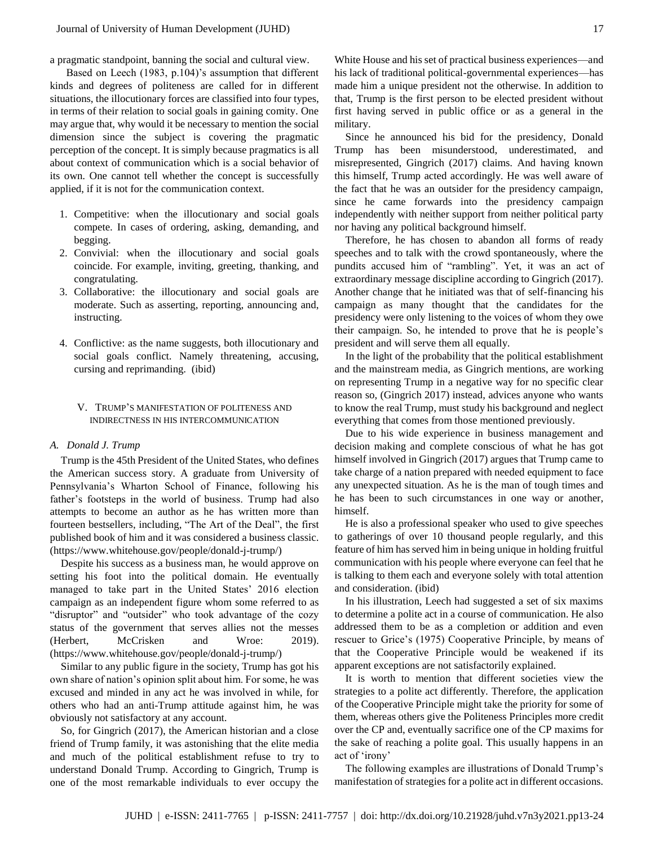a pragmatic standpoint, banning the social and cultural view.

 Based on Leech (1983, p.104)'s assumption that different kinds and degrees of politeness are called for in different situations, the illocutionary forces are classified into four types, in terms of their relation to social goals in gaining comity. One may argue that, why would it be necessary to mention the social dimension since the subject is covering the pragmatic perception of the concept. It is simply because pragmatics is all about context of communication which is a social behavior of its own. One cannot tell whether the concept is successfully applied, if it is not for the communication context.

- 1. Competitive: when the illocutionary and social goals compete. In cases of ordering, asking, demanding, and begging.
- 2. Convivial: when the illocutionary and social goals coincide. For example, inviting, greeting, thanking, and congratulating.
- 3. Collaborative: the illocutionary and social goals are moderate. Such as asserting, reporting, announcing and, instructing.
- 4. Conflictive: as the name suggests, both illocutionary and social goals conflict. Namely threatening, accusing, cursing and reprimanding. (ibid)

#### V. TRUMP'S MANIFESTATION OF POLITENESS AND INDIRECTNESS IN HIS INTERCOMMUNICATION

#### *A. Donald J. Trump*

Trump is the 45th President of the United States, who defines the American success story. A graduate from University of Pennsylvania's Wharton School of Finance, following his father's footsteps in the world of business. Trump had also attempts to become an author as he has written more than fourteen bestsellers, including, "The Art of the Deal", the first published book of him and it was considered a business classic. [\(https://www.whitehouse.gov/people/donald-j-trump/\)](https://www.whitehouse.gov/people/donald-j-trump/)

Despite his success as a business man, he would approve on setting his foot into the political domain. He eventually managed to take part in the United States' 2016 election campaign as an independent figure whom some referred to as "disruptor" and "outsider" who took advantage of the cozy status of the government that serves allies not the messes (Herbert, McCrisken and Wroe: 2019). [\(https://www.whitehouse.gov/people/donald-j-trump/\)](https://www.whitehouse.gov/people/donald-j-trump/)

Similar to any public figure in the society, Trump has got his own share of nation's opinion split about him. For some, he was excused and minded in any act he was involved in while, for others who had an anti-Trump attitude against him, he was obviously not satisfactory at any account.

So, for Gingrich (2017), the American historian and a close friend of Trump family, it was astonishing that the elite media and much of the political establishment refuse to try to understand Donald Trump. According to Gingrich, Trump is one of the most remarkable individuals to ever occupy the White House and his set of practical business experiences—and his lack of traditional political-governmental experiences—has made him a unique president not the otherwise. In addition to that, Trump is the first person to be elected president without first having served in public office or as a general in the military.

Since he announced his bid for the presidency, Donald Trump has been misunderstood, underestimated, and misrepresented, Gingrich (2017) claims. And having known this himself, Trump acted accordingly. He was well aware of the fact that he was an outsider for the presidency campaign, since he came forwards into the presidency campaign independently with neither support from neither political party nor having any political background himself.

Therefore, he has chosen to abandon all forms of ready speeches and to talk with the crowd spontaneously, where the pundits accused him of "rambling". Yet, it was an act of extraordinary message discipline according to Gingrich (2017). Another change that he initiated was that of self-financing his campaign as many thought that the candidates for the presidency were only listening to the voices of whom they owe their campaign. So, he intended to prove that he is people's president and will serve them all equally.

In the light of the probability that the political establishment and the mainstream media, as Gingrich mentions, are working on representing Trump in a negative way for no specific clear reason so, (Gingrich 2017) instead, advices anyone who wants to know the real Trump, must study his background and neglect everything that comes from those mentioned previously.

Due to his wide experience in business management and decision making and complete conscious of what he has got himself involved in Gingrich (2017) argues that Trump came to take charge of a nation prepared with needed equipment to face any unexpected situation. As he is the man of tough times and he has been to such circumstances in one way or another, himself.

He is also a professional speaker who used to give speeches to gatherings of over 10 thousand people regularly, and this feature of him has served him in being unique in holding fruitful communication with his people where everyone can feel that he is talking to them each and everyone solely with total attention and consideration. (ibid)

In his illustration, Leech had suggested a set of six maxims to determine a polite act in a course of communication. He also addressed them to be as a completion or addition and even rescuer to Grice's (1975) Cooperative Principle, by means of that the Cooperative Principle would be weakened if its apparent exceptions are not satisfactorily explained.

It is worth to mention that different societies view the strategies to a polite act differently. Therefore, the application of the Cooperative Principle might take the priority for some of them, whereas others give the Politeness Principles more credit over the CP and, eventually sacrifice one of the CP maxims for the sake of reaching a polite goal. This usually happens in an act of 'irony'

The following examples are illustrations of Donald Trump's manifestation of strategies for a polite act in different occasions.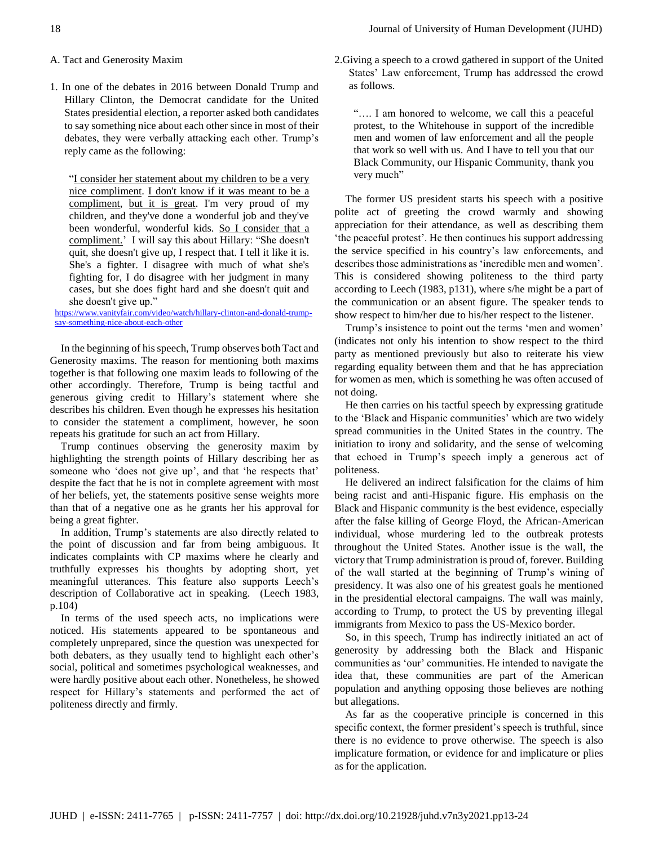- A. Tact and Generosity Maxim
- 1. In one of the debates in 2016 between Donald Trump and Hillary Clinton, the Democrat candidate for the United States presidential election, a reporter asked both candidates to say something nice about each other since in most of their debates, they were verbally attacking each other. Trump's reply came as the following:

"I consider her statement about my children to be a very nice compliment. I don't know if it was meant to be a compliment, but it is great. I'm very proud of my children, and they've done a wonderful job and they've been wonderful, wonderful kids. So I consider that a compliment.' I will say this about Hillary: "She doesn't quit, she doesn't give up, I respect that. I tell it like it is. She's a fighter. I disagree with much of what she's fighting for, I do disagree with her judgment in many cases, but she does fight hard and she doesn't quit and she doesn't give up."

[https://www.vanityfair.com/video/watch/hillary-clinton-and-donald-trump](https://www.vanityfair.com/video/watch/hillary-clinton-and-donald-trump-say-something-nice-about-each-other)[say-something-nice-about-each-other](https://www.vanityfair.com/video/watch/hillary-clinton-and-donald-trump-say-something-nice-about-each-other)

In the beginning of his speech, Trump observes both Tact and Generosity maxims. The reason for mentioning both maxims together is that following one maxim leads to following of the other accordingly. Therefore, Trump is being tactful and generous giving credit to Hillary's statement where she describes his children. Even though he expresses his hesitation to consider the statement a compliment, however, he soon repeats his gratitude for such an act from Hillary.

Trump continues observing the generosity maxim by highlighting the strength points of Hillary describing her as someone who 'does not give up', and that 'he respects that' despite the fact that he is not in complete agreement with most of her beliefs, yet, the statements positive sense weights more than that of a negative one as he grants her his approval for being a great fighter.

In addition, Trump's statements are also directly related to the point of discussion and far from being ambiguous. It indicates complaints with CP maxims where he clearly and truthfully expresses his thoughts by adopting short, yet meaningful utterances. This feature also supports Leech's description of Collaborative act in speaking. (Leech 1983, p.104)

In terms of the used speech acts, no implications were noticed. His statements appeared to be spontaneous and completely unprepared, since the question was unexpected for both debaters, as they usually tend to highlight each other's social, political and sometimes psychological weaknesses, and were hardly positive about each other. Nonetheless, he showed respect for Hillary's statements and performed the act of politeness directly and firmly.

2.Giving a speech to a crowd gathered in support of the United States' Law enforcement, Trump has addressed the crowd as follows.

"…. I am honored to welcome, we call this a peaceful protest, to the Whitehouse in support of the incredible men and women of law enforcement and all the people that work so well with us. And I have to tell you that our Black Community, our Hispanic Community, thank you very much"

The former US president starts his speech with a positive polite act of greeting the crowd warmly and showing appreciation for their attendance, as well as describing them 'the peaceful protest'. He then continues his support addressing the service specified in his country's law enforcements, and describes those administrations as 'incredible men and women'. This is considered showing politeness to the third party according to Leech (1983, p131), where s/he might be a part of the communication or an absent figure. The speaker tends to show respect to him/her due to his/her respect to the listener.

Trump's insistence to point out the terms 'men and women' (indicates not only his intention to show respect to the third party as mentioned previously but also to reiterate his view regarding equality between them and that he has appreciation for women as men, which is something he was often accused of not doing.

He then carries on his tactful speech by expressing gratitude to the 'Black and Hispanic communities' which are two widely spread communities in the United States in the country. The initiation to irony and solidarity, and the sense of welcoming that echoed in Trump's speech imply a generous act of politeness.

He delivered an indirect falsification for the claims of him being racist and anti-Hispanic figure. His emphasis on the Black and Hispanic community is the best evidence, especially after the false killing of George Floyd, the African-American individual, whose murdering led to the outbreak protests throughout the United States. Another issue is the wall, the victory that Trump administration is proud of, forever. Building of the wall started at the beginning of Trump's wining of presidency. It was also one of his greatest goals he mentioned in the presidential electoral campaigns. The wall was mainly, according to Trump, to protect the US by preventing illegal immigrants from Mexico to pass the US-Mexico border.

So, in this speech, Trump has indirectly initiated an act of generosity by addressing both the Black and Hispanic communities as 'our' communities. He intended to navigate the idea that, these communities are part of the American population and anything opposing those believes are nothing but allegations.

As far as the cooperative principle is concerned in this specific context, the former president's speech is truthful, since there is no evidence to prove otherwise. The speech is also implicature formation, or evidence for and implicature or plies as for the application.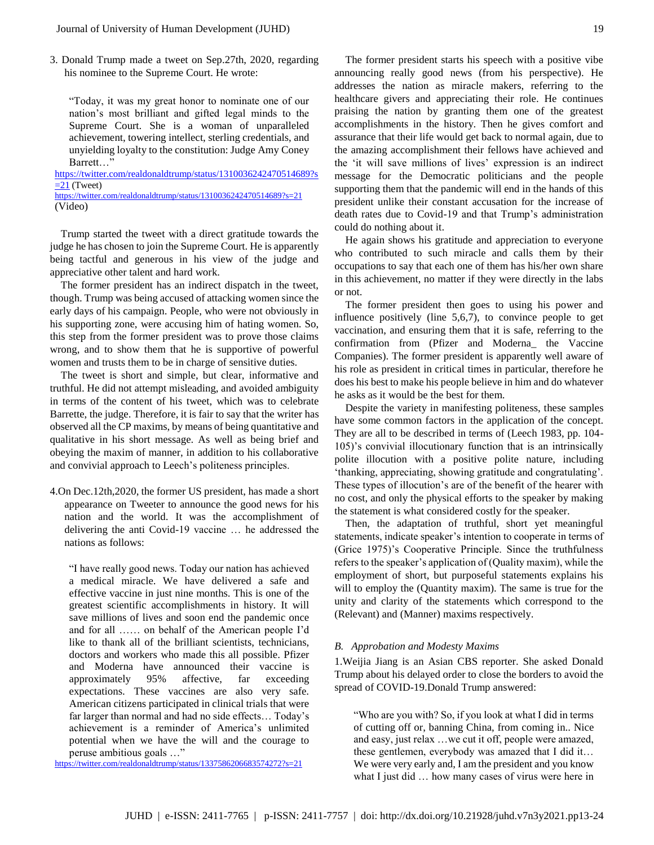3. Donald Trump made a tweet on Sep.27th, 2020, regarding his nominee to the Supreme Court. He wrote:

"Today, it was my great honor to nominate one of our nation's most brilliant and gifted legal minds to the Supreme Court. She is a woman of unparalleled achievement, towering intellect, sterling credentials, and unyielding loyalty to the constitution: Judge Amy Coney Barrett…"

[https://twitter.com/realdonaldtrump/status/1310036242470514689?s](https://twitter.com/realdonaldtrump/status/1310036242470514689?s=21)  $=21$  (Tweet) <https://twitter.com/realdonaldtrump/status/1310036242470514689?s=21>

(Video)

Trump started the tweet with a direct gratitude towards the judge he has chosen to join the Supreme Court. He is apparently being tactful and generous in his view of the judge and appreciative other talent and hard work.

The former president has an indirect dispatch in the tweet, though. Trump was being accused of attacking women since the early days of his campaign. People, who were not obviously in his supporting zone, were accusing him of hating women. So, this step from the former president was to prove those claims wrong, and to show them that he is supportive of powerful women and trusts them to be in charge of sensitive duties.

The tweet is short and simple, but clear, informative and truthful. He did not attempt misleading, and avoided ambiguity in terms of the content of his tweet, which was to celebrate Barrette, the judge. Therefore, it is fair to say that the writer has observed all the CP maxims, by means of being quantitative and qualitative in his short message. As well as being brief and obeying the maxim of manner, in addition to his collaborative and convivial approach to Leech's politeness principles.

4.On Dec.12th,2020, the former US president, has made a short appearance on Tweeter to announce the good news for his nation and the world. It was the accomplishment of delivering the anti Covid-19 vaccine … he addressed the nations as follows:

"I have really good news. Today our nation has achieved a medical miracle. We have delivered a safe and effective vaccine in just nine months. This is one of the greatest scientific accomplishments in history. It will save millions of lives and soon end the pandemic once and for all …… on behalf of the American people I'd like to thank all of the brilliant scientists, technicians, doctors and workers who made this all possible. Pfizer and Moderna have announced their vaccine is approximately 95% affective, far exceeding expectations. These vaccines are also very safe. American citizens participated in clinical trials that were far larger than normal and had no side effects… Today's achievement is a reminder of America's unlimited potential when we have the will and the courage to peruse ambitious goals …"

<https://twitter.com/realdonaldtrump/status/1337586206683574272?s=21>

The former president starts his speech with a positive vibe announcing really good news (from his perspective). He addresses the nation as miracle makers, referring to the healthcare givers and appreciating their role. He continues praising the nation by granting them one of the greatest accomplishments in the history. Then he gives comfort and assurance that their life would get back to normal again, due to the amazing accomplishment their fellows have achieved and

the 'it will save millions of lives' expression is an indirect message for the Democratic politicians and the people supporting them that the pandemic will end in the hands of this president unlike their constant accusation for the increase of death rates due to Covid-19 and that Trump's administration could do nothing about it.

He again shows his gratitude and appreciation to everyone who contributed to such miracle and calls them by their occupations to say that each one of them has his/her own share in this achievement, no matter if they were directly in the labs or not.

The former president then goes to using his power and influence positively (line 5,6,7), to convince people to get vaccination, and ensuring them that it is safe, referring to the confirmation from (Pfizer and Moderna\_ the Vaccine Companies). The former president is apparently well aware of his role as president in critical times in particular, therefore he does his best to make his people believe in him and do whatever he asks as it would be the best for them.

Despite the variety in manifesting politeness, these samples have some common factors in the application of the concept. They are all to be described in terms of (Leech 1983, pp. 104- 105)'s convivial illocutionary function that is an intrinsically polite illocution with a positive polite nature, including 'thanking, appreciating, showing gratitude and congratulating'. These types of illocution's are of the benefit of the hearer with no cost, and only the physical efforts to the speaker by making the statement is what considered costly for the speaker.

Then, the adaptation of truthful, short yet meaningful statements, indicate speaker's intention to cooperate in terms of (Grice 1975)'s Cooperative Principle. Since the truthfulness refers to the speaker's application of (Quality maxim), while the employment of short, but purposeful statements explains his will to employ the (Quantity maxim). The same is true for the unity and clarity of the statements which correspond to the (Relevant) and (Manner) maxims respectively.

#### *B. Approbation and Modesty Maxims*

1.Weijia Jiang is an Asian CBS reporter. She asked Donald Trump about his delayed order to close the borders to avoid the spread of COVID-19.Donald Trump answered:

"Who are you with? So, if you look at what I did in terms of cutting off or, banning China, from coming in.. Nice and easy, just relax …we cut it off, people were amazed, these gentlemen, everybody was amazed that I did it… We were very early and, I am the president and you know what I just did … how many cases of virus were here in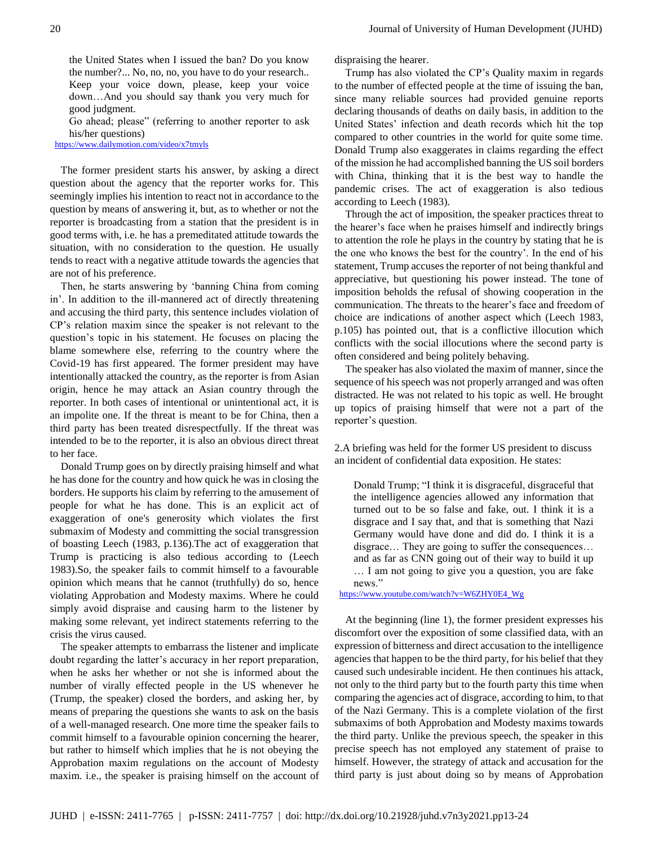the United States when I issued the ban? Do you know the number?... No, no, no, you have to do your research.. Keep your voice down, please, keep your voice down…And you should say thank you very much for good judgment.

Go ahead; please" (referring to another reporter to ask his/her questions)

<https://www.dailymotion.com/video/x7tmyls>

The former president starts his answer, by asking a direct question about the agency that the reporter works for. This seemingly implies his intention to react not in accordance to the question by means of answering it, but, as to whether or not the reporter is broadcasting from a station that the president is in good terms with, i.e. he has a premeditated attitude towards the situation, with no consideration to the question. He usually tends to react with a negative attitude towards the agencies that are not of his preference.

Then, he starts answering by 'banning China from coming in'. In addition to the ill-mannered act of directly threatening and accusing the third party, this sentence includes violation of CP's relation maxim since the speaker is not relevant to the question's topic in his statement. He focuses on placing the blame somewhere else, referring to the country where the Covid-19 has first appeared. The former president may have intentionally attacked the country, as the reporter is from Asian origin, hence he may attack an Asian country through the reporter. In both cases of intentional or unintentional act, it is an impolite one. If the threat is meant to be for China, then a third party has been treated disrespectfully. If the threat was intended to be to the reporter, it is also an obvious direct threat to her face.

Donald Trump goes on by directly praising himself and what he has done for the country and how quick he was in closing the borders. He supports his claim by referring to the amusement of people for what he has done. This is an explicit act of exaggeration of one's generosity which violates the first submaxim of Modesty and committing the social transgression of boasting Leech (1983, p.136).The act of exaggeration that Trump is practicing is also tedious according to (Leech 1983).So, the speaker fails to commit himself to a favourable opinion which means that he cannot (truthfully) do so, hence violating Approbation and Modesty maxims. Where he could simply avoid dispraise and causing harm to the listener by making some relevant, yet indirect statements referring to the crisis the virus caused.

The speaker attempts to embarrass the listener and implicate doubt regarding the latter's accuracy in her report preparation, when he asks her whether or not she is informed about the number of virally effected people in the US whenever he (Trump, the speaker) closed the borders, and asking her, by means of preparing the questions she wants to ask on the basis of a well-managed research. One more time the speaker fails to commit himself to a favourable opinion concerning the hearer, but rather to himself which implies that he is not obeying the Approbation maxim regulations on the account of Modesty maxim. i.e., the speaker is praising himself on the account of dispraising the hearer.

Trump has also violated the CP's Quality maxim in regards to the number of effected people at the time of issuing the ban, since many reliable sources had provided genuine reports declaring thousands of deaths on daily basis, in addition to the United States' infection and death records which hit the top compared to other countries in the world for quite some time. Donald Trump also exaggerates in claims regarding the effect of the mission he had accomplished banning the US soil borders with China, thinking that it is the best way to handle the pandemic crises. The act of exaggeration is also tedious according to Leech (1983).

Through the act of imposition, the speaker practices threat to the hearer's face when he praises himself and indirectly brings to attention the role he plays in the country by stating that he is the one who knows the best for the country'. In the end of his statement, Trump accuses the reporter of not being thankful and appreciative, but questioning his power instead. The tone of imposition beholds the refusal of showing cooperation in the communication. The threats to the hearer's face and freedom of choice are indications of another aspect which (Leech 1983, p.105) has pointed out, that is a conflictive illocution which conflicts with the social illocutions where the second party is often considered and being politely behaving.

The speaker has also violated the maxim of manner, since the sequence of his speech was not properly arranged and was often distracted. He was not related to his topic as well. He brought up topics of praising himself that were not a part of the reporter's question.

2.A briefing was held for the former US president to discuss an incident of confidential data exposition. He states:

Donald Trump; "I think it is disgraceful, disgraceful that the intelligence agencies allowed any information that turned out to be so false and fake, out. I think it is a disgrace and I say that, and that is something that Nazi Germany would have done and did do. I think it is a disgrace… They are going to suffer the consequences… and as far as CNN going out of their way to build it up … I am not going to give you a question, you are fake news."

[https://www.youtube.com/watch?v=W6ZHY0E4\\_Wg](https://www.youtube.com/watch?v=W6ZHY0E4_Wg)

At the beginning (line 1), the former president expresses his discomfort over the exposition of some classified data, with an expression of bitterness and direct accusation to the intelligence agencies that happen to be the third party, for his belief that they caused such undesirable incident. He then continues his attack, not only to the third party but to the fourth party this time when comparing the agencies act of disgrace, according to him, to that of the Nazi Germany. This is a complete violation of the first submaxims of both Approbation and Modesty maxims towards the third party. Unlike the previous speech, the speaker in this precise speech has not employed any statement of praise to himself. However, the strategy of attack and accusation for the third party is just about doing so by means of Approbation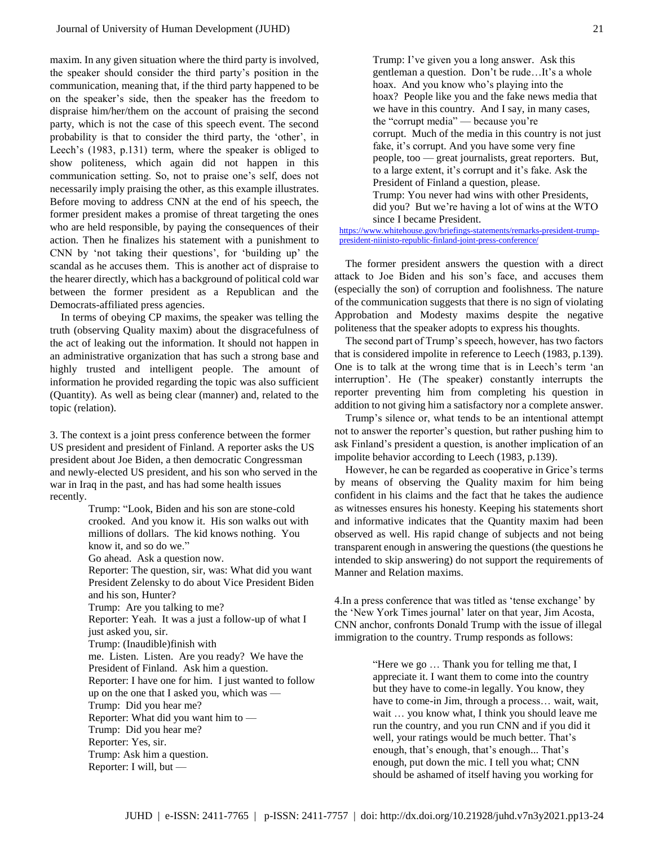maxim. In any given situation where the third party is involved, the speaker should consider the third party's position in the communication, meaning that, if the third party happened to be on the speaker's side, then the speaker has the freedom to dispraise him/her/them on the account of praising the second party, which is not the case of this speech event. The second probability is that to consider the third party, the 'other', in Leech's (1983, p.131) term, where the speaker is obliged to show politeness, which again did not happen in this communication setting. So, not to praise one's self, does not necessarily imply praising the other, as this example illustrates. Before moving to address CNN at the end of his speech, the former president makes a promise of threat targeting the ones who are held responsible, by paying the consequences of their action. Then he finalizes his statement with a punishment to CNN by 'not taking their questions', for 'building up' the scandal as he accuses them. This is another act of dispraise to the hearer directly, which has a background of political cold war between the former president as a Republican and the Democrats-affiliated press agencies.

In terms of obeying CP maxims, the speaker was telling the truth (observing Quality maxim) about the disgracefulness of the act of leaking out the information. It should not happen in an administrative organization that has such a strong base and highly trusted and intelligent people. The amount of information he provided regarding the topic was also sufficient (Quantity). As well as being clear (manner) and, related to the topic (relation).

3. The context is a joint press conference between the former US president and president of Finland. A reporter asks the US president about Joe Biden, a then democratic Congressman and newly-elected US president, and his son who served in the war in Iraq in the past, and has had some health issues recently.

> Trump: "Look, Biden and his son are stone-cold crooked. And you know it. His son walks out with millions of dollars. The kid knows nothing. You know it, and so do we." Go ahead. Ask a question now. Reporter: The question, sir, was: What did you want President Zelensky to do about Vice President Biden and his son, Hunter? Trump: Are you talking to me? Reporter: Yeah. It was a just a follow-up of what I just asked you, sir. Trump: (Inaudible)finish with me. Listen. Listen. Are you ready? We have the President of Finland. Ask him a question. Reporter: I have one for him. I just wanted to follow up on the one that I asked you, which was — Trump: Did you hear me? Reporter: What did you want him to — Trump: Did you hear me? Reporter: Yes, sir. Trump: Ask him a question. Reporter: I will, but —

Trump: I've given you a long answer. Ask this gentleman a question. Don't be rude…It's a whole hoax. And you know who's playing into the hoax? People like you and the fake news media that we have in this country. And I say, in many cases, the "corrupt media" — because you're corrupt. Much of the media in this country is not just fake, it's corrupt. And you have some very fine people, too — great journalists, great reporters. But, to a large extent, it's corrupt and it's fake. Ask the President of Finland a question, please. Trump: You never had wins with other Presidents, did you? But we're having a lot of wins at the WTO since I became President.

[https://www.whitehouse.gov/briefings-statements/remarks-president-trump](https://www.whitehouse.gov/briefings-statements/remarks-president-trump-president-niinisto-republic-finland-joint-press-conference/)[president-niinisto-republic-finland-joint-press-conference/](https://www.whitehouse.gov/briefings-statements/remarks-president-trump-president-niinisto-republic-finland-joint-press-conference/)

The former president answers the question with a direct attack to Joe Biden and his son's face, and accuses them (especially the son) of corruption and foolishness. The nature of the communication suggests that there is no sign of violating Approbation and Modesty maxims despite the negative politeness that the speaker adopts to express his thoughts.

The second part of Trump's speech, however, has two factors that is considered impolite in reference to Leech (1983, p.139). One is to talk at the wrong time that is in Leech's term 'an interruption'. He (The speaker) constantly interrupts the reporter preventing him from completing his question in addition to not giving him a satisfactory nor a complete answer.

Trump's silence or, what tends to be an intentional attempt not to answer the reporter's question, but rather pushing him to ask Finland's president a question, is another implication of an impolite behavior according to Leech (1983, p.139).

However, he can be regarded as cooperative in Grice's terms by means of observing the Quality maxim for him being confident in his claims and the fact that he takes the audience as witnesses ensures his honesty. Keeping his statements short and informative indicates that the Quantity maxim had been observed as well. His rapid change of subjects and not being transparent enough in answering the questions (the questions he intended to skip answering) do not support the requirements of Manner and Relation maxims.

4.In a press conference that was titled as 'tense exchange' by the 'New York Times journal' later on that year, Jim Acosta, CNN anchor, confronts Donald Trump with the issue of illegal immigration to the country. Trump responds as follows:

> "Here we go … Thank you for telling me that, I appreciate it. I want them to come into the country but they have to come-in legally. You know, they have to come-in Jim, through a process… wait, wait, wait … you know what, I think you should leave me run the country, and you run CNN and if you did it well, your ratings would be much better. That's enough, that's enough, that's enough... That's enough, put down the mic. I tell you what; CNN should be ashamed of itself having you working for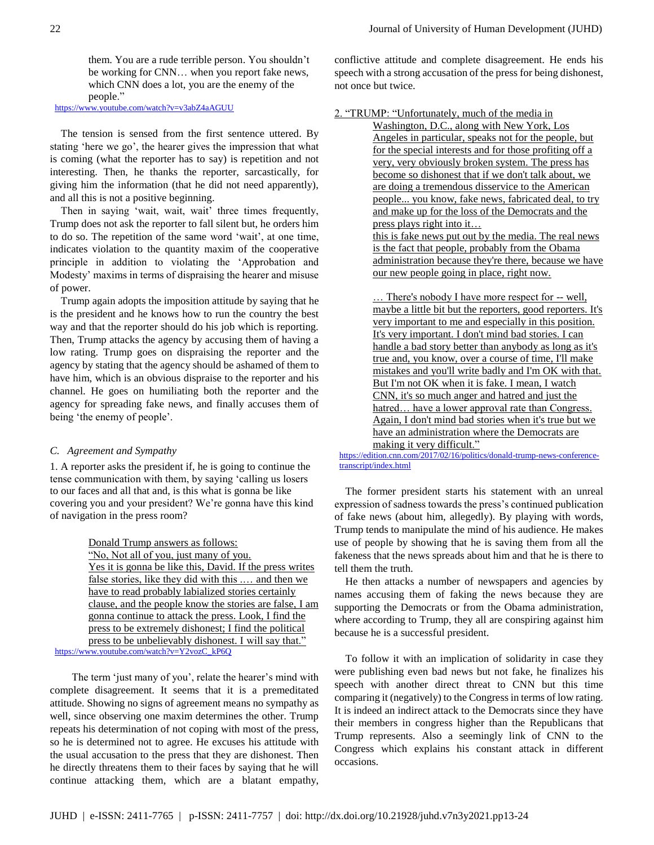them. You are a rude terrible person. You shouldn't be working for CNN… when you report fake news, which CNN does a lot, you are the enemy of the people."

<https://www.youtube.com/watch?v=v3abZ4aAGUU>

The tension is sensed from the first sentence uttered. By stating 'here we go', the hearer gives the impression that what is coming (what the reporter has to say) is repetition and not interesting. Then, he thanks the reporter, sarcastically, for giving him the information (that he did not need apparently), and all this is not a positive beginning.

Then in saying 'wait, wait, wait' three times frequently, Trump does not ask the reporter to fall silent but, he orders him to do so. The repetition of the same word 'wait', at one time, indicates violation to the quantity maxim of the cooperative principle in addition to violating the 'Approbation and Modesty' maxims in terms of dispraising the hearer and misuse of power.

Trump again adopts the imposition attitude by saying that he is the president and he knows how to run the country the best way and that the reporter should do his job which is reporting. Then, Trump attacks the agency by accusing them of having a low rating. Trump goes on dispraising the reporter and the agency by stating that the agency should be ashamed of them to have him, which is an obvious dispraise to the reporter and his channel. He goes on humiliating both the reporter and the agency for spreading fake news, and finally accuses them of being 'the enemy of people'.

#### *C. Agreement and Sympathy*

1. A reporter asks the president if, he is going to continue the tense communication with them, by saying 'calling us losers to our faces and all that and, is this what is gonna be like covering you and your president? We're gonna have this kind of navigation in the press room?

Donald Trump answers as follows:

"No, Not all of you, just many of you. Yes it is gonna be like this, David. If the press writes false stories, like they did with this .… and then we have to read probably labialized stories certainly clause, and the people know the stories are false, I am gonna continue to attack the press. Look, I find the press to be extremely dishonest; I find the political press to be unbelievably dishonest. I will say that."

[https://www.youtube.com/watch?v=Y2vozC\\_kP6Q](https://www.youtube.com/watch?v=Y2vozC_kP6Q)

The term 'just many of you', relate the hearer's mind with complete disagreement. It seems that it is a premeditated attitude. Showing no signs of agreement means no sympathy as well, since observing one maxim determines the other. Trump repeats his determination of not coping with most of the press, so he is determined not to agree. He excuses his attitude with the usual accusation to the press that they are dishonest. Then he directly threatens them to their faces by saying that he will continue attacking them, which are a blatant empathy,

conflictive attitude and complete disagreement. He ends his speech with a strong accusation of the press for being dishonest, not once but twice.

2. "TRUMP: "Unfortunately, much of the media in

Washington, D.C., along with New York, Los Angeles in particular, speaks not for the people, but for the special interests and for those profiting off a very, very obviously broken system. The press has become so dishonest that if we don't talk about, we are doing a tremendous disservice to the American people... you know, fake news, fabricated deal, to try and make up for the loss of the Democrats and the press plays right into it… this is fake news put out by the media. The real news is the fact that people, probably from the Obama administration because they're there, because we have our new people going in place, right now.

... There's nobody I have more respect for -- well, maybe a little bit but the reporters, good reporters. It's very important to me and especially in this position. It's very important. I don't mind bad stories. I can handle a bad story better than anybody as long as it's true and, you know, over a course of time, I'll make mistakes and you'll write badly and I'm OK with that. But I'm not OK when it is fake. I mean, I watch CNN, it's so much anger and hatred and just the hatred... have a lower approval rate than Congress. Again, I don't mind bad stories when it's true but we have an administration where the Democrats are making it very difficult."

[https://edition.cnn.com/2017/02/16/politics/donald-trump-news-conference](https://edition.cnn.com/2017/02/16/politics/donald-trump-news-conference-transcript/index.html)[transcript/index.html](https://edition.cnn.com/2017/02/16/politics/donald-trump-news-conference-transcript/index.html)

The former president starts his statement with an unreal expression of sadness towards the press's continued publication of fake news (about him, allegedly). By playing with words, Trump tends to manipulate the mind of his audience. He makes use of people by showing that he is saving them from all the fakeness that the news spreads about him and that he is there to tell them the truth.

He then attacks a number of newspapers and agencies by names accusing them of faking the news because they are supporting the Democrats or from the Obama administration, where according to Trump, they all are conspiring against him because he is a successful president.

To follow it with an implication of solidarity in case they were publishing even bad news but not fake, he finalizes his speech with another direct threat to CNN but this time comparing it (negatively) to the Congress in terms of low rating. It is indeed an indirect attack to the Democrats since they have their members in congress higher than the Republicans that Trump represents. Also a seemingly link of CNN to the Congress which explains his constant attack in different occasions.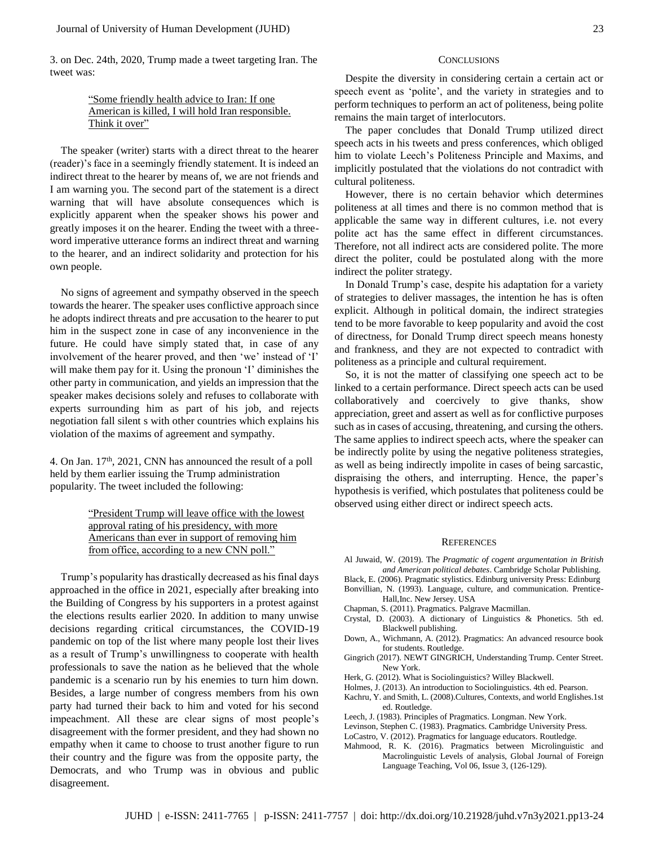3. on Dec. 24th, 2020, Trump made a tweet targeting Iran. The tweet was:

# "Some friendly health advice to Iran: If one American is killed, I will hold Iran responsible. Think it over"

The speaker (writer) starts with a direct threat to the hearer (reader)'s face in a seemingly friendly statement. It is indeed an indirect threat to the hearer by means of, we are not friends and I am warning you. The second part of the statement is a direct warning that will have absolute consequences which is explicitly apparent when the speaker shows his power and greatly imposes it on the hearer. Ending the tweet with a threeword imperative utterance forms an indirect threat and warning to the hearer, and an indirect solidarity and protection for his own people.

No signs of agreement and sympathy observed in the speech towards the hearer. The speaker uses conflictive approach since he adopts indirect threats and pre accusation to the hearer to put him in the suspect zone in case of any inconvenience in the future. He could have simply stated that, in case of any involvement of the hearer proved, and then 'we' instead of 'I' will make them pay for it. Using the pronoun 'I' diminishes the other party in communication, and yields an impression that the speaker makes decisions solely and refuses to collaborate with experts surrounding him as part of his job, and rejects negotiation fall silent s with other countries which explains his violation of the maxims of agreement and sympathy.

4. On Jan. 17<sup>th</sup>, 2021, CNN has announced the result of a poll held by them earlier issuing the Trump administration popularity. The tweet included the following:

# "President Trump will leave office with the lowest" approval rating of his presidency, with more Americans than ever in support of removing him from office, according to a new CNN poll."

Trump's popularity has drastically decreased as his final days approached in the office in 2021, especially after breaking into the Building of Congress by his supporters in a protest against the elections results earlier 2020. In addition to many unwise decisions regarding critical circumstances, the COVID-19 pandemic on top of the list where many people lost their lives as a result of Trump's unwillingness to cooperate with health professionals to save the nation as he believed that the whole pandemic is a scenario run by his enemies to turn him down. Besides, a large number of congress members from his own party had turned their back to him and voted for his second impeachment. All these are clear signs of most people's disagreement with the former president, and they had shown no empathy when it came to choose to trust another figure to run their country and the figure was from the opposite party, the Democrats, and who Trump was in obvious and public disagreement.

#### **CONCLUSIONS**

Despite the diversity in considering certain a certain act or speech event as 'polite', and the variety in strategies and to perform techniques to perform an act of politeness, being polite remains the main target of interlocutors.

The paper concludes that Donald Trump utilized direct speech acts in his tweets and press conferences, which obliged him to violate Leech's Politeness Principle and Maxims, and implicitly postulated that the violations do not contradict with cultural politeness.

However, there is no certain behavior which determines politeness at all times and there is no common method that is applicable the same way in different cultures, i.e. not every polite act has the same effect in different circumstances. Therefore, not all indirect acts are considered polite. The more direct the politer, could be postulated along with the more indirect the politer strategy.

In Donald Trump's case, despite his adaptation for a variety of strategies to deliver massages, the intention he has is often explicit. Although in political domain, the indirect strategies tend to be more favorable to keep popularity and avoid the cost of directness, for Donald Trump direct speech means honesty and frankness, and they are not expected to contradict with politeness as a principle and cultural requirement.

So, it is not the matter of classifying one speech act to be linked to a certain performance. Direct speech acts can be used collaboratively and coercively to give thanks, show appreciation, greet and assert as well as for conflictive purposes such as in cases of accusing, threatening, and cursing the others. The same applies to indirect speech acts, where the speaker can be indirectly polite by using the negative politeness strategies, as well as being indirectly impolite in cases of being sarcastic, dispraising the others, and interrupting. Hence, the paper's hypothesis is verified, which postulates that politeness could be observed using either direct or indirect speech acts.

#### **REFERENCES**

Al Juwaid, W. (2019). The *Pragmatic of cogent argumentation in British and American political debates*. Cambridge Scholar Publishing.

Black, E. (2006). Pragmatic stylistics. Edinburg university Press: Edinburg Bonvillian, N. (1993). Language, culture, and communication. Prentice-Hall,Inc. New Jersey. USA

- Chapman, S. (2011). Pragmatics. Palgrave Macmillan.
- Crystal, D. (2003). A dictionary of Linguistics & Phonetics. 5th ed. Blackwell publishing.
- Down, A., Wichmann, A. (2012). Pragmatics: An advanced resource book for students. Routledge.
- Gingrich (2017). NEWT GINGRICH, Understanding Trump. Center Street. New York.
- Herk, G. (2012). What is Sociolinguistics? Willey Blackwell.
- Holmes, J. (2013). An introduction to Sociolinguistics. 4th ed. Pearson.
- Kachru, Y. and Smith, L. (2008).Cultures, Contexts, and world Englishes.1st ed. Routledge.
- Leech, J. (1983). Principles of Pragmatics. Longman. New York.
- Levinson, Stephen C. (1983). Pragmatics. Cambridge University Press.

LoCastro, V. (2012). Pragmatics for language educators. Routledge.

Mahmood, R. K. (2016). Pragmatics between Microlinguistic and Macrolinguistic Levels of analysis, Global Journal of Foreign Language Teaching, Vol 06, Issue 3, (126-129).